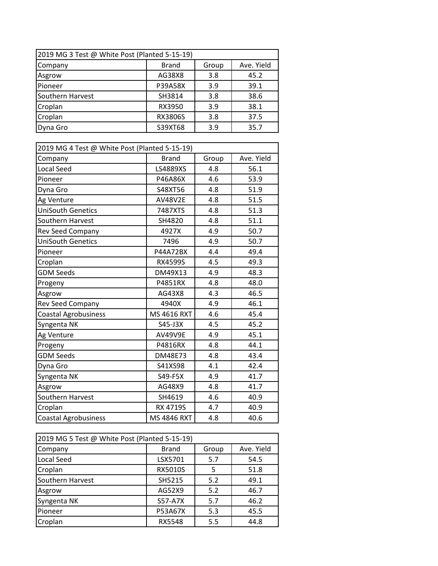| 2019 MG 3 Test @ White Post (Planted 5-15-19)  |         |     |      |  |  |  |
|------------------------------------------------|---------|-----|------|--|--|--|
| <b>Brand</b><br>Ave. Yield<br>Company<br>Group |         |     |      |  |  |  |
| Asgrow                                         | AG38X8  | 3.8 | 45.2 |  |  |  |
| Pioneer                                        | P39A58X | 3.9 | 39.1 |  |  |  |
| Southern Harvest                               | SH3814  | 3.8 | 38.6 |  |  |  |
| Croplan                                        | RX3950  | 3.9 | 38.1 |  |  |  |
| Croplan                                        | RX3806S | 3.8 | 37.5 |  |  |  |
| Dyna Gro                                       | S39XT68 | 3.9 | 35.7 |  |  |  |

| 2019 MG 4 Test @ White Post (Planted 5-15-19) |                    |       |            |  |  |  |
|-----------------------------------------------|--------------------|-------|------------|--|--|--|
| Company                                       | <b>Brand</b>       | Group | Ave. Yield |  |  |  |
| <b>Local Seed</b>                             | LS4889XS           | 4.8   | 56.1       |  |  |  |
| Pioneer                                       | P46A86X            | 4.6   | 53.9       |  |  |  |
| Dyna Gro                                      | S48XT56            | 4.8   | 51.9       |  |  |  |
| Ag Venture                                    | <b>AV48V2E</b>     | 4.8   | 51.5       |  |  |  |
| <b>UniSouth Genetics</b>                      | 7487XTS            | 4.8   | 51.3       |  |  |  |
| Southern Harvest                              | SH4820             | 4.8   | 51.1       |  |  |  |
| Rev Seed Company                              | 4927X              | 4.9   | 50.7       |  |  |  |
| <b>UniSouth Genetics</b>                      | 7496               | 4.9   | 50.7       |  |  |  |
| Pioneer                                       | P44A72BX           | 4.4   | 49.4       |  |  |  |
| Croplan                                       | <b>RX4599S</b>     | 4.5   | 49.3       |  |  |  |
| <b>GDM Seeds</b>                              | DM49X13            | 4.9   | 48.3       |  |  |  |
| Progeny                                       | P4851RX            | 4.8   | 48.0       |  |  |  |
| Asgrow                                        | AG43X8             | 4.3   | 46.5       |  |  |  |
| Rev Seed Company                              | 4940X              | 4.9   | 46.1       |  |  |  |
| Coastal Agrobusiness                          | MS 4616 RXT        | 4.6   | 45.4       |  |  |  |
| Syngenta NK                                   | S45-J3X            | 4.5   | 45.2       |  |  |  |
| Ag Venture                                    | AV49V9E            | 4.9   | 45.1       |  |  |  |
| Progeny                                       | P4816RX            | 4.8   | 44.1       |  |  |  |
| <b>GDM Seeds</b>                              | DM48E73            | 4.8   | 43.4       |  |  |  |
| Dyna Gro                                      | S41XS98            | 4.1   | 42.4       |  |  |  |
| Syngenta NK                                   | S49-F5X            | 4.9   | 41.7       |  |  |  |
| Asgrow                                        | AG48X9             | 4.8   | 41.7       |  |  |  |
| Southern Harvest                              | SH4619             | 4.6   | 40.9       |  |  |  |
| Croplan                                       | RX 4719S           | 4.7   | 40.9       |  |  |  |
| Coastal Agrobusiness                          | <b>MS 4846 RXT</b> | 4.8   | 40.6       |  |  |  |

| 2019 MG 5 Test @ White Post (Planted 5-15-19) |               |       |            |  |  |  |
|-----------------------------------------------|---------------|-------|------------|--|--|--|
| Company                                       | <b>Brand</b>  | Group | Ave. Yield |  |  |  |
| Local Seed                                    | LSX5701       | 5.7   | 54.5       |  |  |  |
| Croplan                                       | RX5010S       | 5     | 51.8       |  |  |  |
| Southern Harvest                              | SH5215        | 5.2   | 49.1       |  |  |  |
| Asgrow                                        | AG52X9        | 5.2   | 46.7       |  |  |  |
| Syngenta NK                                   | S57-A7X       | 5.7   | 46.2       |  |  |  |
| Pioneer                                       | P53A67X       | 5.3   | 45.5       |  |  |  |
| Croplan                                       | <b>RX5548</b> | 5.5   | 44.8       |  |  |  |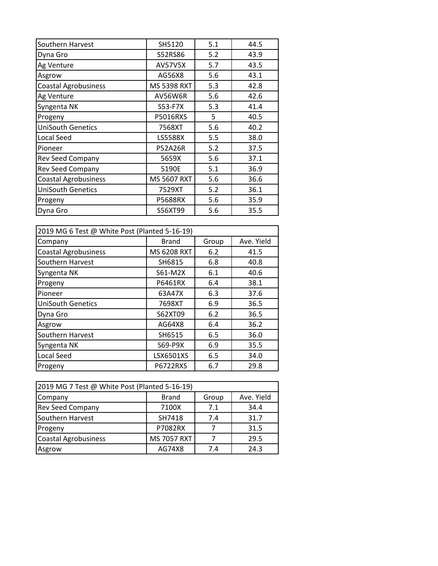| Southern Harvest            | SH5120             | 5.1 | 44.5 |
|-----------------------------|--------------------|-----|------|
| Dyna Gro                    | S52RS86            | 5.2 | 43.9 |
| Ag Venture                  | <b>AV57V5X</b>     | 5.7 | 43.5 |
| Asgrow                      | AG56X8             | 5.6 | 43.1 |
| <b>Coastal Agrobusiness</b> | <b>MS 5398 RXT</b> | 5.3 | 42.8 |
| Ag Venture                  | <b>AV56W6R</b>     | 5.6 | 42.6 |
| Syngenta NK                 | S53-F7X            | 5.3 | 41.4 |
| Progeny                     | <b>P5016RXS</b>    | 5   | 40.5 |
| <b>UniSouth Genetics</b>    | 7568XT             | 5.6 | 40.2 |
| Local Seed                  | <b>LS5588X</b>     | 5.5 | 38.0 |
| Pioneer                     | <b>P52A26R</b>     | 5.2 | 37.5 |
| <b>Rev Seed Company</b>     | 5659X              | 5.6 | 37.1 |
| <b>Rev Seed Company</b>     | 5190E              | 5.1 | 36.9 |
| <b>Coastal Agrobusiness</b> | <b>MS 5607 RXT</b> | 5.6 | 36.6 |
| <b>UniSouth Genetics</b>    | 7529XT             | 5.2 | 36.1 |
| Progeny                     | <b>P5688RX</b>     | 5.6 | 35.9 |
| Dyna Gro                    | S56XT99            | 5.6 | 35.5 |

| 2019 MG 6 Test @ White Post (Planted 5-16-19) |                    |       |            |  |  |  |
|-----------------------------------------------|--------------------|-------|------------|--|--|--|
| Company                                       | <b>Brand</b>       | Group | Ave. Yield |  |  |  |
| <b>Coastal Agrobusiness</b>                   | <b>MS 6208 RXT</b> | 6.2   | 41.5       |  |  |  |
| Southern Harvest                              | SH6815             | 6.8   | 40.8       |  |  |  |
| Syngenta NK                                   | S61-M2X            | 6.1   | 40.6       |  |  |  |
| Progeny                                       | P6461RX            | 6.4   | 38.1       |  |  |  |
| Pioneer                                       | 63A47X             | 6.3   | 37.6       |  |  |  |
| <b>UniSouth Genetics</b>                      | 7698XT             | 6.9   | 36.5       |  |  |  |
| Dyna Gro                                      | S62XT09            | 6.2   | 36.5       |  |  |  |
| Asgrow                                        | AG64X8             | 6.4   | 36.2       |  |  |  |
| Southern Harvest                              | SH6515             | 6.5   | 36.0       |  |  |  |
| Syngenta NK                                   | S69-P9X            | 6.9   | 35.5       |  |  |  |
| <b>Local Seed</b>                             | LSX6501XS          | 6.5   | 34.0       |  |  |  |
| Progeny                                       | P6722RXS           | 6.7   | 29.8       |  |  |  |

| 2019 MG 7 Test @ White Post (Planted 5-16-19)  |                    |     |      |  |  |  |
|------------------------------------------------|--------------------|-----|------|--|--|--|
| Ave. Yield<br><b>Brand</b><br>Company<br>Group |                    |     |      |  |  |  |
| <b>Rev Seed Company</b>                        | 7100X              | 7.1 | 34.4 |  |  |  |
| Southern Harvest                               | SH7418             | 7.4 | 31.7 |  |  |  |
| Progeny                                        | P7082RX            | ⇁   | 31.5 |  |  |  |
| <b>Coastal Agrobusiness</b>                    | <b>MS 7057 RXT</b> |     | 29.5 |  |  |  |
| Asgrow                                         | AG74X8             | 7.4 | 24.3 |  |  |  |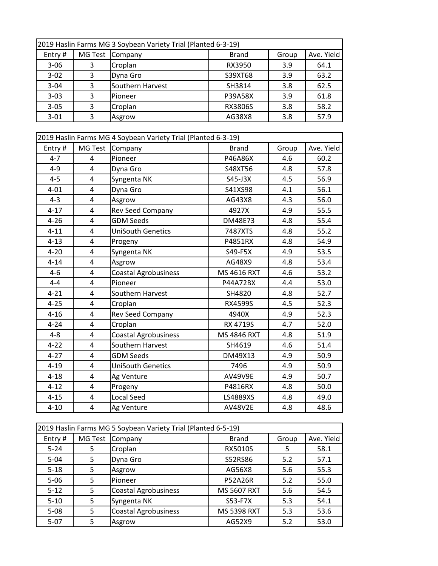| 2019 Haslin Farms MG 3 Soybean Variety Trial (Planted 6-3-19) |   |                  |                |       |            |
|---------------------------------------------------------------|---|------------------|----------------|-------|------------|
| Entry#                                                        |   | MG Test Company  | <b>Brand</b>   | Group | Ave. Yield |
| $3 - 06$                                                      | 3 | Croplan          | RX3950         | 3.9   | 64.1       |
| $3 - 02$                                                      | 3 | Dyna Gro         | S39XT68        | 3.9   | 63.2       |
| $3 - 04$                                                      | 3 | Southern Harvest | SH3814         | 3.8   | 62.5       |
| $3 - 03$                                                      | 3 | Pioneer          | P39A58X        | 3.9   | 61.8       |
| $3 - 05$                                                      | 3 | Croplan          | <b>RX3806S</b> | 3.8   | 58.2       |
| $3 - 01$                                                      | 3 | Asgrow           | AG38X8         | 3.8   | 57.9       |

| 2019 Haslin Farms MG 4 Soybean Variety Trial (Planted 6-3-19) |                |                             |                 |       |            |
|---------------------------------------------------------------|----------------|-----------------------------|-----------------|-------|------------|
| Entry#                                                        | MG Test        | Company                     | <b>Brand</b>    | Group | Ave. Yield |
| $4 - 7$                                                       | 4              | Pioneer                     | P46A86X         | 4.6   | 60.2       |
| $4 - 9$                                                       | 4              | Dyna Gro                    | S48XT56         | 4.8   | 57.8       |
| $4 - 5$                                                       | 4              | Syngenta NK                 | S45-J3X         | 4.5   | 56.9       |
| $4 - 01$                                                      | 4              | Dyna Gro                    | S41XS98         | 4.1   | 56.1       |
| $4 - 3$                                                       | 4              | Asgrow                      | AG43X8          | 4.3   | 56.0       |
| $4 - 17$                                                      | 4              | Rev Seed Company            | 4927X           | 4.9   | 55.5       |
| $4 - 26$                                                      | 4              | <b>GDM Seeds</b>            | DM48E73         | 4.8   | 55.4       |
| $4 - 11$                                                      | 4              | <b>UniSouth Genetics</b>    | 7487XTS         | 4.8   | 55.2       |
| $4 - 13$                                                      | 4              | Progeny                     | P4851RX         | 4.8   | 54.9       |
| $4 - 20$                                                      | 4              | Syngenta NK                 | S49-F5X         | 4.9   | 53.5       |
| $4 - 14$                                                      | 4              | Asgrow                      | AG48X9          | 4.8   | 53.4       |
| $4 - 6$                                                       | 4              | <b>Coastal Agrobusiness</b> | MS 4616 RXT     | 4.6   | 53.2       |
| $4 - 4$                                                       | $\overline{4}$ | Pioneer                     | P44A72BX        | 4.4   | 53.0       |
| $4 - 21$                                                      | 4              | Southern Harvest            | SH4820          | 4.8   | 52.7       |
| $4 - 25$                                                      | 4              | Croplan                     | <b>RX4599S</b>  | 4.5   | 52.3       |
| $4 - 16$                                                      | 4              | Rev Seed Company            | 4940X           | 4.9   | 52.3       |
| $4 - 24$                                                      | 4              | Croplan                     | RX 4719S        | 4.7   | 52.0       |
| $4 - 8$                                                       | 4              | <b>Coastal Agrobusiness</b> | MS 4846 RXT     | 4.8   | 51.9       |
| $4 - 22$                                                      | 4              | Southern Harvest            | SH4619          | 4.6   | 51.4       |
| $4 - 27$                                                      | 4              | <b>GDM Seeds</b>            | DM49X13         | 4.9   | 50.9       |
| $4 - 19$                                                      | $\overline{4}$ | <b>UniSouth Genetics</b>    | 7496            | 4.9   | 50.9       |
| $4 - 18$                                                      | 4              | Ag Venture                  | <b>AV49V9E</b>  | 4.9   | 50.7       |
| $4 - 12$                                                      | 4              | Progeny                     | P4816RX         | 4.8   | 50.0       |
| $4 - 15$                                                      | 4              | Local Seed                  | <b>LS4889XS</b> | 4.8   | 49.0       |
| $4 - 10$                                                      | 4              | Ag Venture                  | <b>AV48V2E</b>  | 4.8   | 48.6       |

| 2019 Haslin Farms MG 5 Soybean Variety Trial (Planted 6-5-19) |   |                             |                    |       |            |
|---------------------------------------------------------------|---|-----------------------------|--------------------|-------|------------|
| Entry#                                                        |   | MG Test Company             | <b>Brand</b>       | Group | Ave. Yield |
| $5 - 24$                                                      | 5 | Croplan                     | <b>RX5010S</b>     | 5     | 58.1       |
| $5 - 04$                                                      | 5 | Dyna Gro                    | S52RS86            | 5.2   | 57.1       |
| $5 - 18$                                                      | 5 | Asgrow                      | AG56X8             | 5.6   | 55.3       |
| $5 - 06$                                                      | 5 | Pioneer                     | <b>P52A26R</b>     | 5.2   | 55.0       |
| $5 - 12$                                                      | 5 | <b>Coastal Agrobusiness</b> | <b>MS 5607 RXT</b> | 5.6   | 54.5       |
| $5 - 10$                                                      | 5 | Syngenta NK                 | S53-F7X            | 5.3   | 54.1       |
| $5 - 08$                                                      | 5 | <b>Coastal Agrobusiness</b> | <b>MS 5398 RXT</b> | 5.3   | 53.6       |
| $5 - 07$                                                      | 5 | Asgrow                      | AG52X9             | 5.2   | 53.0       |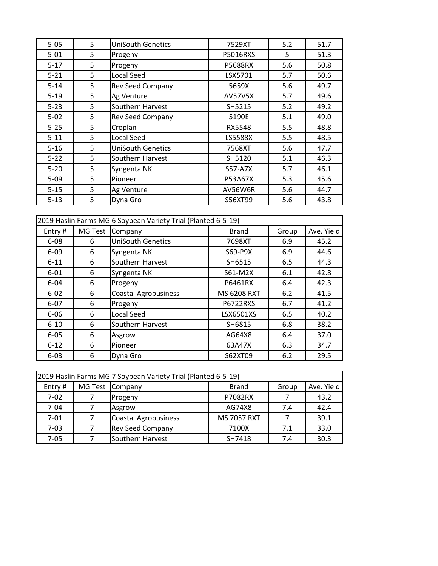| $5 - 05$ | 5 | <b>UniSouth Genetics</b> | 7529XT          | 5.2 | 51.7 |
|----------|---|--------------------------|-----------------|-----|------|
| $5 - 01$ | 5 | Progeny                  | <b>P5016RXS</b> | 5   | 51.3 |
| $5 - 17$ | 5 | Progeny                  | <b>P5688RX</b>  | 5.6 | 50.8 |
| $5 - 21$ | 5 | Local Seed               | LSX5701         | 5.7 | 50.6 |
| $5 - 14$ | 5 | <b>Rev Seed Company</b>  | 5659X           | 5.6 | 49.7 |
| $5 - 19$ | 5 | Ag Venture               | <b>AV57V5X</b>  | 5.7 | 49.6 |
| $5 - 23$ | 5 | Southern Harvest         | SH5215          | 5.2 | 49.2 |
| $5 - 02$ | 5 | <b>Rev Seed Company</b>  | 5190E           | 5.1 | 49.0 |
| $5 - 25$ | 5 | Croplan                  | <b>RX5548</b>   | 5.5 | 48.8 |
| $5 - 11$ | 5 | <b>Local Seed</b>        | LS5588X         | 5.5 | 48.5 |
| $5 - 16$ | 5 | <b>UniSouth Genetics</b> | 7568XT          | 5.6 | 47.7 |
| $5 - 22$ | 5 | Southern Harvest         | SH5120          | 5.1 | 46.3 |
| $5 - 20$ | 5 | Syngenta NK              | S57-A7X         | 5.7 | 46.1 |
| $5 - 09$ | 5 | Pioneer                  | P53A67X         | 5.3 | 45.6 |
| $5 - 15$ | 5 | Ag Venture               | <b>AV56W6R</b>  | 5.6 | 44.7 |
| $5 - 13$ | 5 | Dyna Gro                 | S56XT99         | 5.6 | 43.8 |

| 2019 Haslin Farms MG 6 Soybean Variety Trial (Planted 6-5-19) |         |                             |                    |       |            |
|---------------------------------------------------------------|---------|-----------------------------|--------------------|-------|------------|
| Entry#                                                        | MG Test | Company                     | <b>Brand</b>       | Group | Ave. Yield |
| $6 - 08$                                                      | 6       | <b>UniSouth Genetics</b>    | 7698XT             | 6.9   | 45.2       |
| $6 - 09$                                                      | 6       | Syngenta NK                 | S69-P9X            | 6.9   | 44.6       |
| $6 - 11$                                                      | 6       | <b>Southern Harvest</b>     | SH6515             | 6.5   | 44.3       |
| $6 - 01$                                                      | 6       | Syngenta NK                 | S61-M2X            | 6.1   | 42.8       |
| $6 - 04$                                                      | 6       | Progeny                     | P6461RX            | 6.4   | 42.3       |
| $6 - 02$                                                      | 6       | <b>Coastal Agrobusiness</b> | <b>MS 6208 RXT</b> | 6.2   | 41.5       |
| $6 - 07$                                                      | 6       | Progeny                     | <b>P6722RXS</b>    | 6.7   | 41.2       |
| $6 - 06$                                                      | 6       | <b>Local Seed</b>           | LSX6501XS          | 6.5   | 40.2       |
| $6 - 10$                                                      | 6       | <b>Southern Harvest</b>     | SH6815             | 6.8   | 38.2       |
| $6 - 05$                                                      | 6       | Asgrow                      | AG64X8             | 6.4   | 37.0       |
| $6 - 12$                                                      | 6       | Pioneer                     | 63A47X             | 6.3   | 34.7       |
| $6 - 03$                                                      | 6       | Dyna Gro                    | S62XT09            | 6.2   | 29.5       |

| [2019 Haslin Farms MG 7 Soybean Variety Trial (Planted 6-5-19) |  |                             |                    |       |            |
|----------------------------------------------------------------|--|-----------------------------|--------------------|-------|------------|
| Entry #                                                        |  | MG Test Company             | <b>Brand</b>       | Group | Ave. Yield |
| $7 - 02$                                                       |  | Progeny                     | P7082RX            |       | 43.2       |
| $7 - 04$                                                       |  | Asgrow                      | AG74X8             | 7.4   | 42.4       |
| $7 - 01$                                                       |  | <b>Coastal Agrobusiness</b> | <b>MS 7057 RXT</b> |       | 39.1       |
| $7 - 03$                                                       |  | <b>Rev Seed Company</b>     | 7100X              | 7.1   | 33.0       |
| $7 - 05$                                                       |  | Southern Harvest            | SH7418             | 7.4   | 30.3       |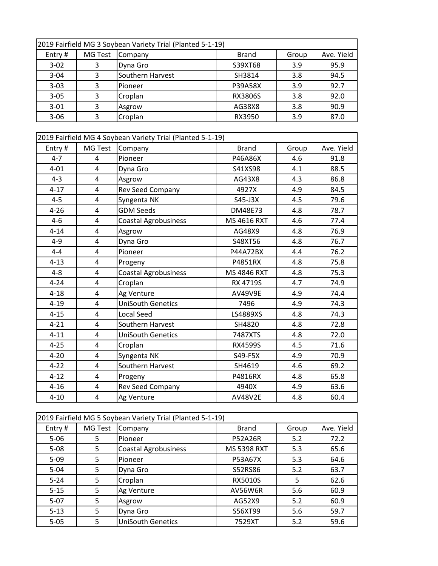| Entry#<br><b>MG Test</b><br>Ave. Yield<br>Company<br><b>Brand</b><br>Group<br>3<br>$3 - 02$<br>Dyna Gro<br>S39XT68<br>3.9<br>95.9<br>3<br>$3 - 04$<br>Southern Harvest<br>3.8<br>94.5<br>SH3814<br>3<br>92.7<br>$3 - 03$<br>Pioneer<br>P39A58X<br>3.9<br>3<br>$3 - 05$<br>3.8<br>RX3806S<br>92.0<br>Croplan<br>3<br>$3 - 01$<br>AG38X8<br>3.8<br>90.9<br>Asgrow<br>3<br>$3 - 06$<br>Croplan<br>3.9<br>87.0<br>RX3950<br>2019 Fairfield MG 4 Soybean Variety Trial (Planted 5-1-19)<br><b>MG Test</b><br><b>Brand</b><br>Ave. Yield<br>Entry#<br>Company<br>Group<br>$4 - 7$<br>4<br>Pioneer<br>P46A86X<br>4.6<br>91.8<br>4<br>88.5<br>$4 - 01$<br>S41XS98<br>4.1<br>Dyna Gro<br>$4 - 3$<br>$\overline{\mathbf{4}}$<br>AG43X8<br>86.8<br>4.3<br>Asgrow<br>$\overline{\mathbf{4}}$<br>$4 - 17$<br>Rev Seed Company<br>4927X<br>4.9<br>84.5<br>$4 - 5$<br>$\overline{\mathbf{4}}$<br>$S45-J3X$<br>4.5<br>79.6<br>Syngenta NK<br>$4 - 26$<br>$\overline{4}$<br><b>GDM Seeds</b><br>78.7 |
|-------------------------------------------------------------------------------------------------------------------------------------------------------------------------------------------------------------------------------------------------------------------------------------------------------------------------------------------------------------------------------------------------------------------------------------------------------------------------------------------------------------------------------------------------------------------------------------------------------------------------------------------------------------------------------------------------------------------------------------------------------------------------------------------------------------------------------------------------------------------------------------------------------------------------------------------------------------------------------------|
|                                                                                                                                                                                                                                                                                                                                                                                                                                                                                                                                                                                                                                                                                                                                                                                                                                                                                                                                                                                     |
|                                                                                                                                                                                                                                                                                                                                                                                                                                                                                                                                                                                                                                                                                                                                                                                                                                                                                                                                                                                     |
|                                                                                                                                                                                                                                                                                                                                                                                                                                                                                                                                                                                                                                                                                                                                                                                                                                                                                                                                                                                     |
|                                                                                                                                                                                                                                                                                                                                                                                                                                                                                                                                                                                                                                                                                                                                                                                                                                                                                                                                                                                     |
|                                                                                                                                                                                                                                                                                                                                                                                                                                                                                                                                                                                                                                                                                                                                                                                                                                                                                                                                                                                     |
|                                                                                                                                                                                                                                                                                                                                                                                                                                                                                                                                                                                                                                                                                                                                                                                                                                                                                                                                                                                     |
|                                                                                                                                                                                                                                                                                                                                                                                                                                                                                                                                                                                                                                                                                                                                                                                                                                                                                                                                                                                     |
|                                                                                                                                                                                                                                                                                                                                                                                                                                                                                                                                                                                                                                                                                                                                                                                                                                                                                                                                                                                     |
|                                                                                                                                                                                                                                                                                                                                                                                                                                                                                                                                                                                                                                                                                                                                                                                                                                                                                                                                                                                     |
|                                                                                                                                                                                                                                                                                                                                                                                                                                                                                                                                                                                                                                                                                                                                                                                                                                                                                                                                                                                     |
|                                                                                                                                                                                                                                                                                                                                                                                                                                                                                                                                                                                                                                                                                                                                                                                                                                                                                                                                                                                     |
|                                                                                                                                                                                                                                                                                                                                                                                                                                                                                                                                                                                                                                                                                                                                                                                                                                                                                                                                                                                     |
|                                                                                                                                                                                                                                                                                                                                                                                                                                                                                                                                                                                                                                                                                                                                                                                                                                                                                                                                                                                     |
|                                                                                                                                                                                                                                                                                                                                                                                                                                                                                                                                                                                                                                                                                                                                                                                                                                                                                                                                                                                     |
|                                                                                                                                                                                                                                                                                                                                                                                                                                                                                                                                                                                                                                                                                                                                                                                                                                                                                                                                                                                     |
| DM48E73<br>4.8                                                                                                                                                                                                                                                                                                                                                                                                                                                                                                                                                                                                                                                                                                                                                                                                                                                                                                                                                                      |
| $4 - 6$<br>4<br><b>Coastal Agrobusiness</b><br>MS 4616 RXT<br>4.6<br>77.4                                                                                                                                                                                                                                                                                                                                                                                                                                                                                                                                                                                                                                                                                                                                                                                                                                                                                                           |
| $4 - 14$<br>4<br>AG48X9<br>4.8<br>76.9<br>Asgrow                                                                                                                                                                                                                                                                                                                                                                                                                                                                                                                                                                                                                                                                                                                                                                                                                                                                                                                                    |
| 76.7<br>$4 - 9$<br>$\overline{4}$<br>S48XT56<br>4.8<br>Dyna Gro                                                                                                                                                                                                                                                                                                                                                                                                                                                                                                                                                                                                                                                                                                                                                                                                                                                                                                                     |
| $4 - 4$<br>76.2<br>4<br>Pioneer<br>P44A72BX<br>4.4                                                                                                                                                                                                                                                                                                                                                                                                                                                                                                                                                                                                                                                                                                                                                                                                                                                                                                                                  |
| 75.8<br>$4 - 13$<br>4<br>P4851RX<br>4.8<br>Progeny                                                                                                                                                                                                                                                                                                                                                                                                                                                                                                                                                                                                                                                                                                                                                                                                                                                                                                                                  |
| $\overline{\mathbf{4}}$<br><b>Coastal Agrobusiness</b><br>75.3<br>$4 - 8$<br>MS 4846 RXT<br>4.8                                                                                                                                                                                                                                                                                                                                                                                                                                                                                                                                                                                                                                                                                                                                                                                                                                                                                     |
| $\overline{\mathbf{4}}$<br>$4 - 24$<br>74.9<br>Croplan<br>RX 4719S<br>4.7                                                                                                                                                                                                                                                                                                                                                                                                                                                                                                                                                                                                                                                                                                                                                                                                                                                                                                           |
| $4 - 18$<br>4<br>74.4<br><b>AV49V9E</b><br>4.9<br>Ag Venture                                                                                                                                                                                                                                                                                                                                                                                                                                                                                                                                                                                                                                                                                                                                                                                                                                                                                                                        |
| $4 - 19$<br>4<br><b>UniSouth Genetics</b><br>7496<br>4.9<br>74.3                                                                                                                                                                                                                                                                                                                                                                                                                                                                                                                                                                                                                                                                                                                                                                                                                                                                                                                    |
| $4 - 15$<br>$\overline{\mathbf{4}}$<br><b>Local Seed</b><br>LS4889XS<br>74.3<br>4.8                                                                                                                                                                                                                                                                                                                                                                                                                                                                                                                                                                                                                                                                                                                                                                                                                                                                                                 |
| $4 - 21$<br>$\overline{4}$<br>72.8<br>Southern Harvest<br>SH4820<br>4.8                                                                                                                                                                                                                                                                                                                                                                                                                                                                                                                                                                                                                                                                                                                                                                                                                                                                                                             |
| 4<br>$4 - 11$<br>7487XTS<br>4.8<br>72.0<br><b>UniSouth Genetics</b>                                                                                                                                                                                                                                                                                                                                                                                                                                                                                                                                                                                                                                                                                                                                                                                                                                                                                                                 |
| $4 - 25$<br>$\overline{4}$<br>RX4599S<br>4.5<br>71.6<br>Croplan                                                                                                                                                                                                                                                                                                                                                                                                                                                                                                                                                                                                                                                                                                                                                                                                                                                                                                                     |
| $4 - 20$<br>4<br>Syngenta NK<br>70.9<br>S49-F5X<br>4.9                                                                                                                                                                                                                                                                                                                                                                                                                                                                                                                                                                                                                                                                                                                                                                                                                                                                                                                              |
| $\overline{4}$<br>$4 - 22$<br>Southern Harvest<br>SH4619<br>4.6<br>69.2                                                                                                                                                                                                                                                                                                                                                                                                                                                                                                                                                                                                                                                                                                                                                                                                                                                                                                             |
| $4 - 12$<br>65.8<br>4<br>P4816RX<br>4.8<br>Progeny                                                                                                                                                                                                                                                                                                                                                                                                                                                                                                                                                                                                                                                                                                                                                                                                                                                                                                                                  |
| $4 - 16$<br>4<br>Rev Seed Company<br>4940X<br>63.6<br>4.9                                                                                                                                                                                                                                                                                                                                                                                                                                                                                                                                                                                                                                                                                                                                                                                                                                                                                                                           |
| $4 - 10$<br>4<br>Ag Venture<br><b>AV48V2E</b><br>60.4<br>4.8                                                                                                                                                                                                                                                                                                                                                                                                                                                                                                                                                                                                                                                                                                                                                                                                                                                                                                                        |

| 2019 Fairfield MG 5 Soybean Variety Trial (Planted 5-1-19) |                |                             |                    |       |            |  |  |  |
|------------------------------------------------------------|----------------|-----------------------------|--------------------|-------|------------|--|--|--|
| Entry#                                                     | <b>MG Test</b> | Company                     | <b>Brand</b>       | Group | Ave. Yield |  |  |  |
| $5 - 06$                                                   | 5              | Pioneer                     | <b>P52A26R</b>     | 5.2   | 72.2       |  |  |  |
| $5 - 08$                                                   | 5              | <b>Coastal Agrobusiness</b> | <b>MS 5398 RXT</b> | 5.3   | 65.6       |  |  |  |
| $5 - 09$                                                   | 5              | Pioneer                     | P53A67X            | 5.3   | 64.6       |  |  |  |
| $5 - 04$                                                   | 5.             | Dyna Gro                    | S52RS86            | 5.2   | 63.7       |  |  |  |
| $5 - 24$                                                   | 5              | Croplan                     | RX5010S            | 5     | 62.6       |  |  |  |
| $5 - 15$                                                   | 5              | Ag Venture                  | AV56W6R            | 5.6   | 60.9       |  |  |  |
| $5-07$                                                     | 5              | Asgrow                      | AG52X9             | 5.2   | 60.9       |  |  |  |
| $5 - 13$                                                   | 5              | Dyna Gro                    | S56XT99            | 5.6   | 59.7       |  |  |  |
| $5 - 05$                                                   | 5              | <b>UniSouth Genetics</b>    | 7529XT             | 5.2   | 59.6       |  |  |  |